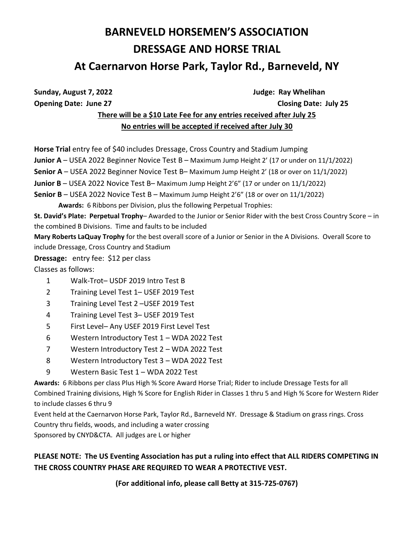# **BARNEVELD HORSEMEN'S ASSOCIATION DRESSAGE AND HORSE TRIAL**

## **At Caernarvon Horse Park, Taylor Rd., Barneveld, NY**

Sunday, August 7, 2022 **August 7, 2022 Judge:** Ray Whelihan **Opening Date: June 27 Closing Date: July 25**

## **There will be a \$10 Late Fee for any entries received after July 25 No entries will be accepted if received after July 30**

**Horse Trial** entry fee of \$40 includes Dressage, Cross Country and Stadium Jumping **Junior A** – USEA 2022 Beginner Novice Test B – Maximum Jump Height 2' (17 or under on 11/1/2022) **Senior A** – USEA 2022 Beginner Novice Test B– Maximum Jump Height 2' (18 or over on 11/1/2022) **Junior B** – USEA 2022 Novice Test B– Maximum Jump Height 2'6" (17 or under on 11/1/2022) **Senior B** – USEA 2022 Novice Test B – Maximum Jump Height 2'6" (18 or over on 11/1/2022) **Awards:** 6 Ribbons per Division, plus the following Perpetual Trophies: **St. David's Plate: Perpetual Trophy**– Awarded to the Junior or Senior Rider with the best Cross Country Score – in the combined B Divisions. Time and faults to be included **Mary Roberts LaQuay Trophy** for the best overall score of a Junior or Senior in the A Divisions. Overall Score to

include Dressage, Cross Country and Stadium

**Dressage:** entry fee: \$12 per class

Classes as follows:

- 1 Walk-Trot– USDF 2019 Intro Test B
- 2 Training Level Test 1– USEF 2019 Test
- 3 Training Level Test 2 –USEF 2019 Test
- 4 Training Level Test 3– USEF 2019 Test
- 5 First Level– Any USEF 2019 First Level Test
- 6 Western Introductory Test 1 WDA 2022 Test
- 7 Western Introductory Test 2 WDA 2022 Test
- 8 Western Introductory Test 3 WDA 2022 Test
- 9 Western Basic Test 1 WDA 2022 Test

**Awards:** 6 Ribbons per class Plus High % Score Award Horse Trial; Rider to include Dressage Tests for all Combined Training divisions, High % Score for English Rider in Classes 1 thru 5 and High % Score for Western Rider to include classes 6 thru 9

Event held at the Caernarvon Horse Park, Taylor Rd., Barneveld NY. Dressage & Stadium on grass rings. Cross Country thru fields, woods, and including a water crossing

Sponsored by CNYD&CTA. All judges are L or higher

### **PLEASE NOTE: The US Eventing Association has put a ruling into effect that ALL RIDERS COMPETING IN THE CROSS COUNTRY PHASE ARE REQUIRED TO WEAR A PROTECTIVE VEST.**

**(For additional info, please call Betty at 315-725-0767)**